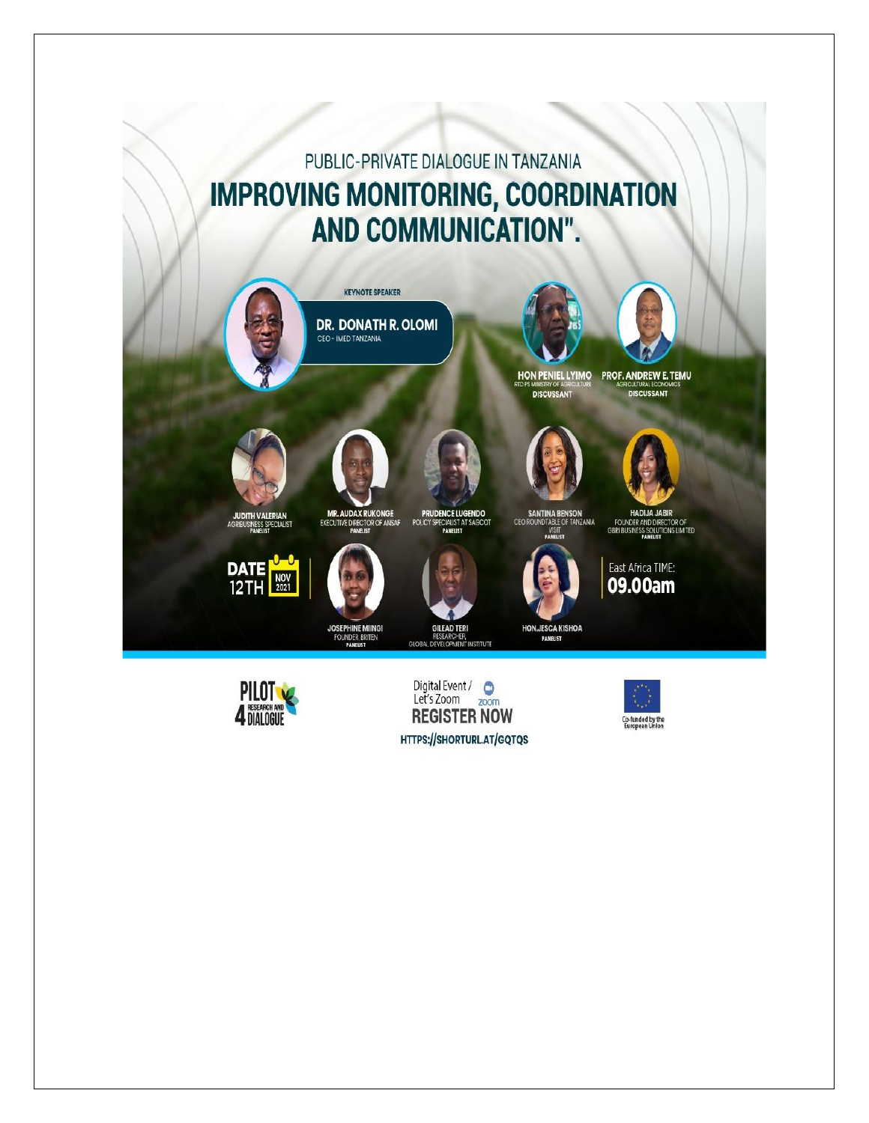# PUBLIC-PRIVATE DIALOGUE IN TANZANIA **IMPROVING MONITORING, COORDINATION** AND COMMUNICATION".





**DISCUSSANT** 









MR. AUDAX RUKONGE<br>EXECUTIVE DIRECTOR OF ANSAF **PRUDENCE LUGENDO**<br>POLICY SPECIALIST AT SAGCOT

GLOBA

**SANTINA BENSON**<br>CEO ROUNDTABLE OF TANZANIA

**HADIJAJ** FOUNDER AND DIRECTOR OF<br>GBRI BUSINESS SOLUTIONS LIMITED



**DITH VALERIAN<br>USINESS SPECIALIST** 



FOUNDER, BRITEN



**HON.JESCA KISHOA** PANELIST



Digital Event / Com<br>Let's Zoom zoom **REGISTER NOW** HTTPS://SHORTURL.AT/GQTQS





East Africa TIME: 09.00am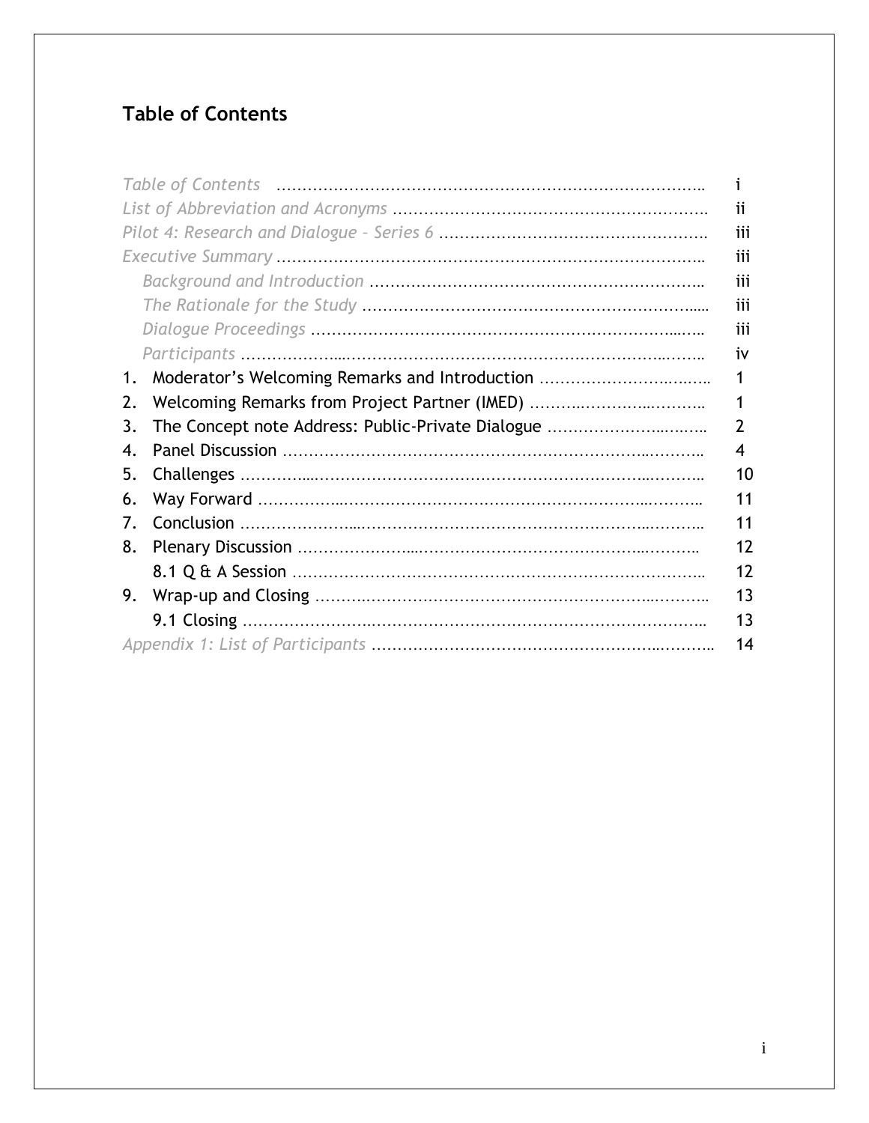# **Table of Contents**

|                                                         | ĨĨ. |
|---------------------------------------------------------|-----|
|                                                         | iii |
|                                                         | iii |
|                                                         | iii |
|                                                         | iii |
|                                                         | iii |
|                                                         | İ٧  |
| Moderator's Welcoming Remarks and Introduction<br>1.    | 1   |
| Welcoming Remarks from Project Partner (IMED)<br>2.     | 1   |
| The Concept note Address: Public-Private Dialogue<br>3. | 2   |
| 4.                                                      | 4   |
| 5.                                                      | 10  |
| 6.                                                      | 11  |
| 7.                                                      | 11  |
| 8.                                                      | 12  |
|                                                         | 12  |
| 9.                                                      | 13  |
|                                                         | 13  |
|                                                         | 14  |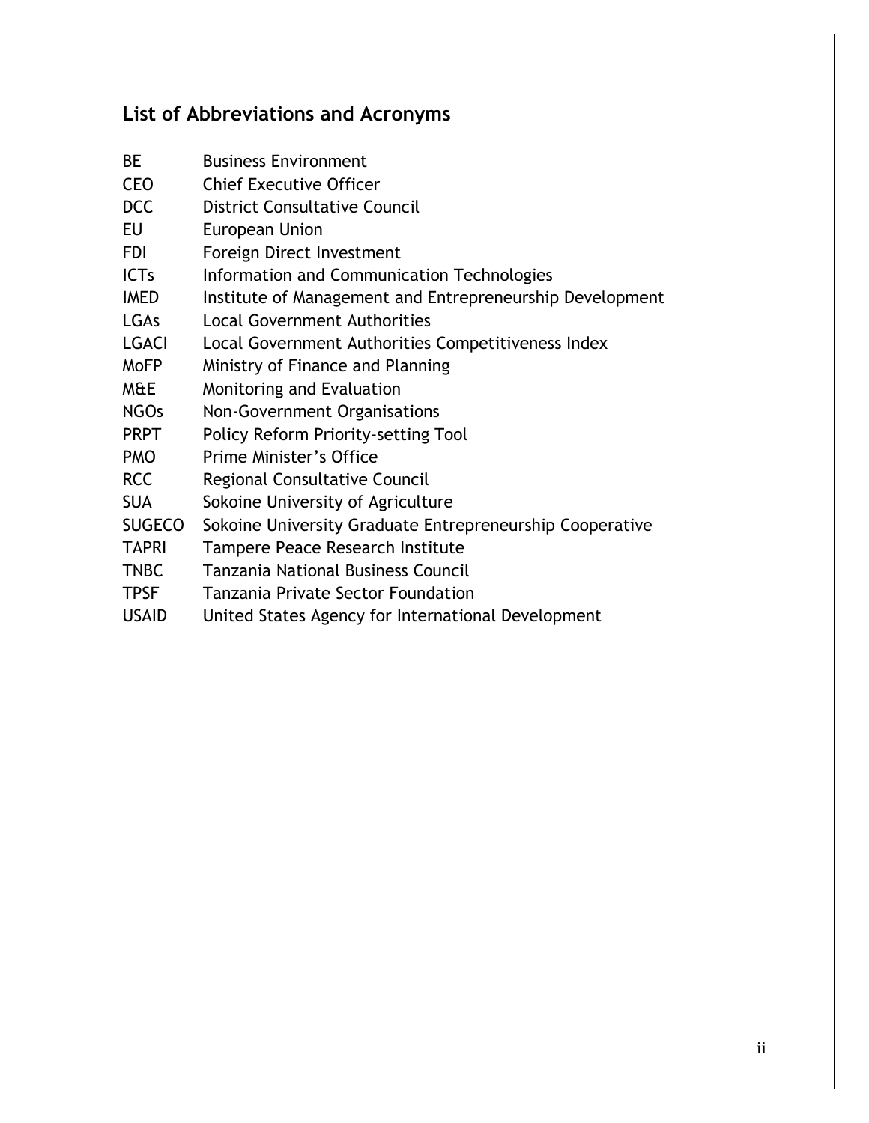# **List of Abbreviations and Acronyms**

- BE Business Environment
- CEO Chief Executive Officer
- DCC District Consultative Council
- EU European Union
- FDI Foreign Direct Investment
- ICTs Information and Communication Technologies
- IMED Institute of Management and Entrepreneurship Development
- LGAs Local Government Authorities
- LGACI Local Government Authorities Competitiveness Index
- MoFP Ministry of Finance and Planning
- M&E Monitoring and Evaluation
- NGOs Non-Government Organisations
- PRPT Policy Reform Priority-setting Tool
- PMO Prime Minister's Office
- RCC Regional Consultative Council
- SUA Sokoine University of Agriculture
- SUGECO Sokoine University Graduate Entrepreneurship Cooperative
- TAPRI Tampere Peace Research Institute
- TNBC Tanzania National Business Council
- TPSF Tanzania Private Sector Foundation
- USAID United States Agency for International Development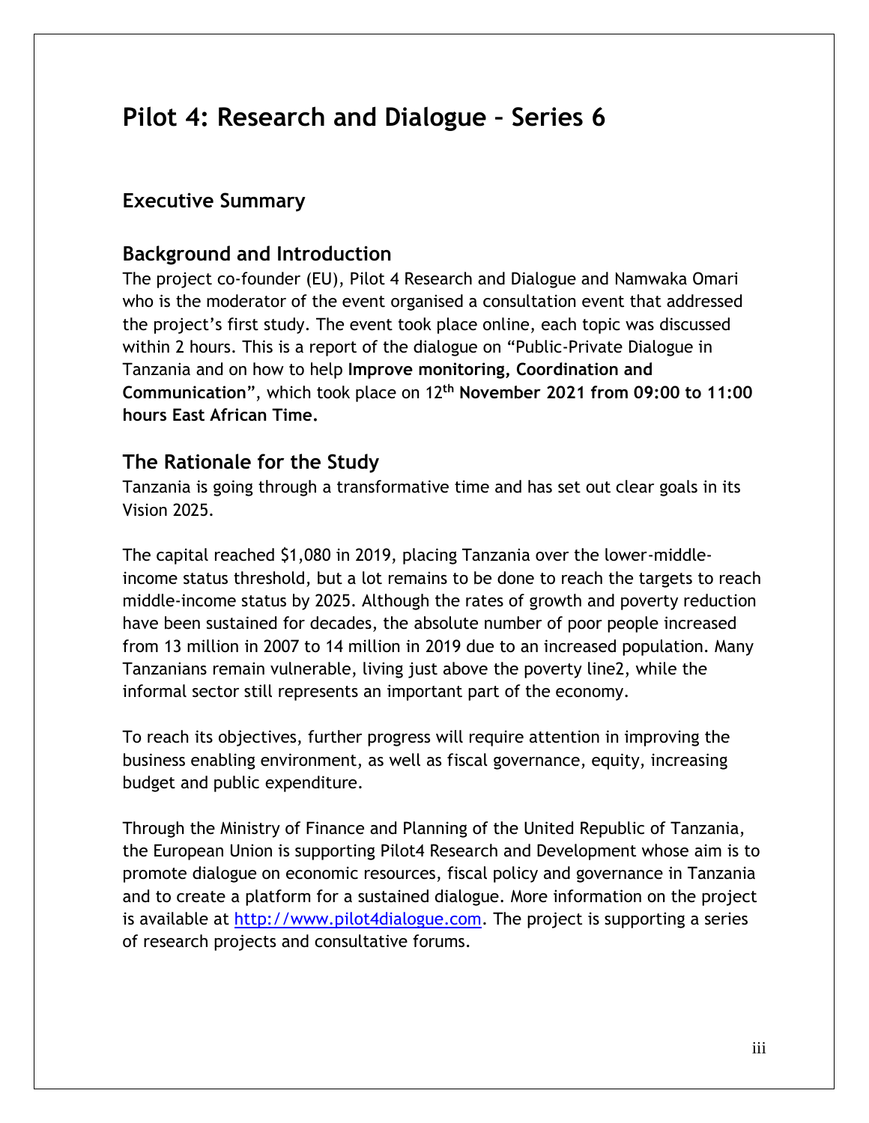# **Pilot 4: Research and Dialogue – Series 6**

#### **Executive Summary**

#### **Background and Introduction**

The project co-founder (EU), Pilot 4 Research and Dialogue and Namwaka Omari who is the moderator of the event organised a consultation event that addressed the project's first study. The event took place online, each topic was discussed within 2 hours. This is a report of the dialogue on "Public-Private Dialogue in Tanzania and on how to help **Improve monitoring, Coordination and Communication**", which took place on 12**th November 2021 from 09:00 to 11:00 hours East African Time.**

#### **The Rationale for the Study**

Tanzania is going through a transformative time and has set out clear goals in its Vision 2025.

The capital reached \$1,080 in 2019, placing Tanzania over the lower-middleincome status threshold, but a lot remains to be done to reach the targets to reach middle-income status by 2025. Although the rates of growth and poverty reduction have been sustained for decades, the absolute number of poor people increased from 13 million in 2007 to 14 million in 2019 due to an increased population. Many Tanzanians remain vulnerable, living just above the poverty line2, while the informal sector still represents an important part of the economy.

To reach its objectives, further progress will require attention in improving the business enabling environment, as well as fiscal governance, equity, increasing budget and public expenditure.

Through the Ministry of Finance and Planning of the United Republic of Tanzania, the European Union is supporting Pilot4 Research and Development whose aim is to promote dialogue on economic resources, fiscal policy and governance in Tanzania and to create a platform for a sustained dialogue. More information on the project is available at [http://www.pilot4dialogue.com.](http://www.pilot4dialogue.com/) The project is supporting a series of research projects and consultative forums.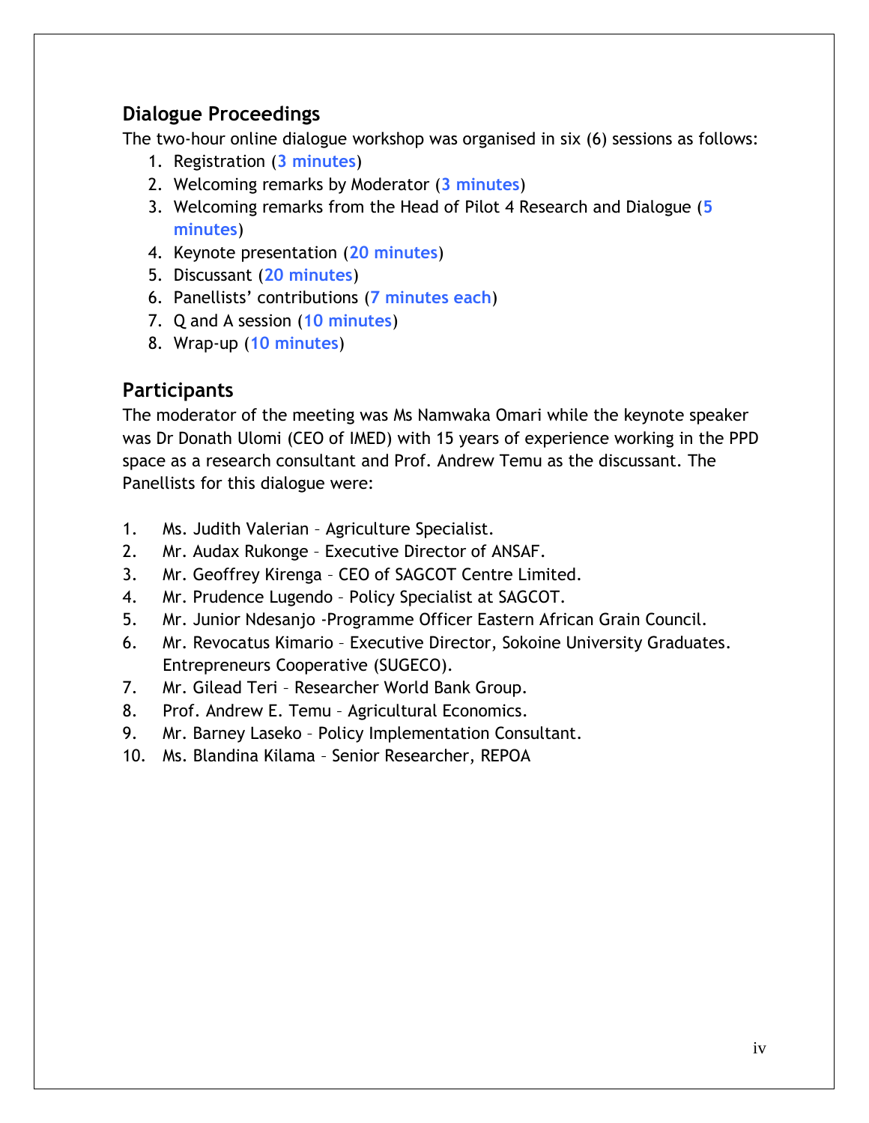# **Dialogue Proceedings**

The two-hour online dialogue workshop was organised in six (6) sessions as follows:

- 1. Registration (**3 minutes**)
- 2. Welcoming remarks by Moderator (**3 minutes**)
- 3. Welcoming remarks from the Head of Pilot 4 Research and Dialogue (**5 minutes**)
- 4. Keynote presentation (**20 minutes**)
- 5. Discussant (**20 minutes**)
- 6. Panellists' contributions (**7 minutes each**)
- 7. Q and A session (**10 minutes**)
- 8. Wrap-up (**10 minutes**)

# **Participants**

The moderator of the meeting was Ms Namwaka Omari while the keynote speaker was Dr Donath Ulomi (CEO of IMED) with 15 years of experience working in the PPD space as a research consultant and Prof. Andrew Temu as the discussant. The Panellists for this dialogue were:

- 1. Ms. Judith Valerian Agriculture Specialist.
- 2. Mr. Audax Rukonge Executive Director of ANSAF.
- 3. Mr. Geoffrey Kirenga CEO of SAGCOT Centre Limited.
- 4. Mr. Prudence Lugendo Policy Specialist at SAGCOT.
- 5. Mr. Junior Ndesanjo -Programme Officer Eastern African Grain Council.
- 6. Mr. Revocatus Kimario Executive Director, Sokoine University Graduates. Entrepreneurs Cooperative (SUGECO).
- 7. Mr. Gilead Teri Researcher World Bank Group.
- 8. Prof. Andrew E. Temu Agricultural Economics.
- 9. Mr. Barney Laseko Policy Implementation Consultant.
- 10. Ms. Blandina Kilama Senior Researcher, REPOA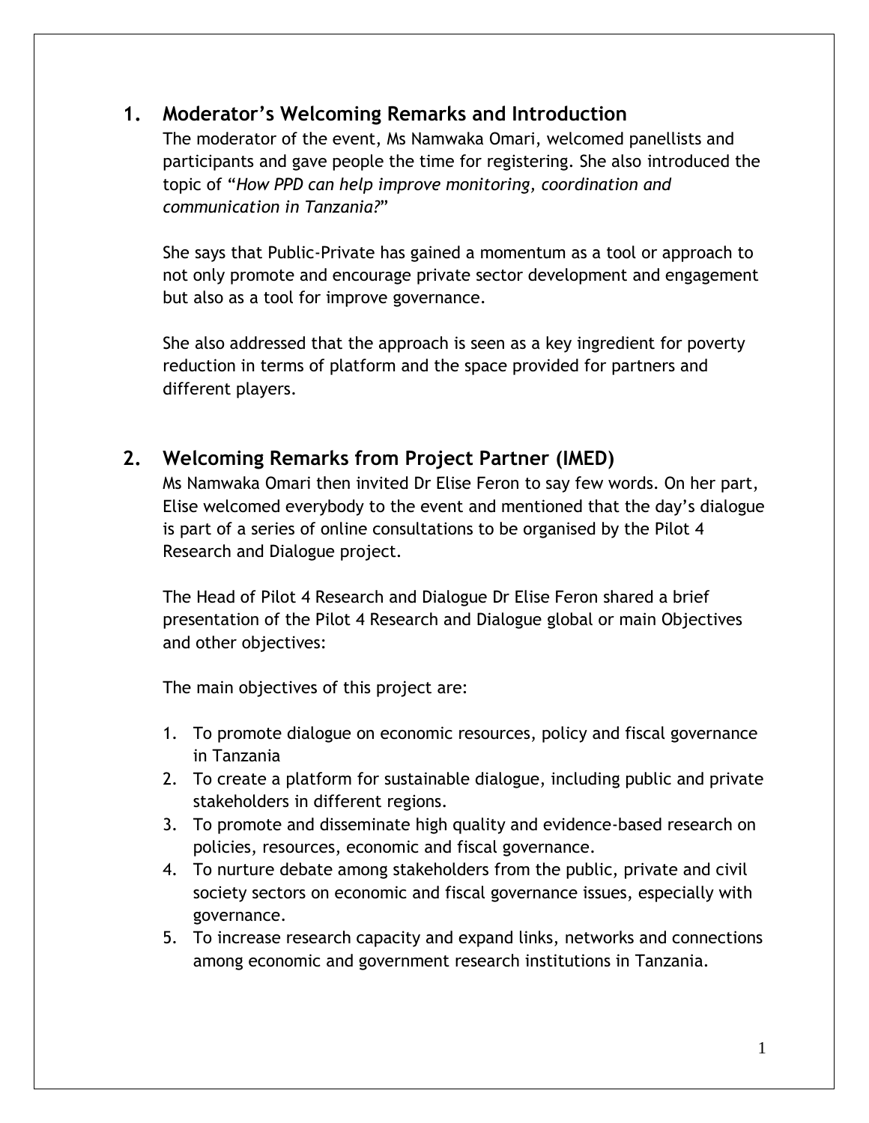# **1. Moderator's Welcoming Remarks and Introduction**

The moderator of the event, Ms Namwaka Omari, welcomed panellists and participants and gave people the time for registering. She also introduced the topic of "*How PPD can help improve monitoring, coordination and communication in Tanzania?*"

She says that Public-Private has gained a momentum as a tool or approach to not only promote and encourage private sector development and engagement but also as a tool for improve governance.

She also addressed that the approach is seen as a key ingredient for poverty reduction in terms of platform and the space provided for partners and different players.

# **2. Welcoming Remarks from Project Partner (IMED)**

Ms Namwaka Omari then invited Dr Elise Feron to say few words. On her part, Elise welcomed everybody to the event and mentioned that the day's dialogue is part of a series of online consultations to be organised by the Pilot 4 Research and Dialogue project.

The Head of Pilot 4 Research and Dialogue Dr Elise Feron shared a brief presentation of the Pilot 4 Research and Dialogue global or main Objectives and other objectives:

The main objectives of this project are:

- 1. To promote dialogue on economic resources, policy and fiscal governance in Tanzania
- 2. To create a platform for sustainable dialogue, including public and private stakeholders in different regions.
- 3. To promote and disseminate high quality and evidence-based research on policies, resources, economic and fiscal governance.
- 4. To nurture debate among stakeholders from the public, private and civil society sectors on economic and fiscal governance issues, especially with governance.
- 5. To increase research capacity and expand links, networks and connections among economic and government research institutions in Tanzania.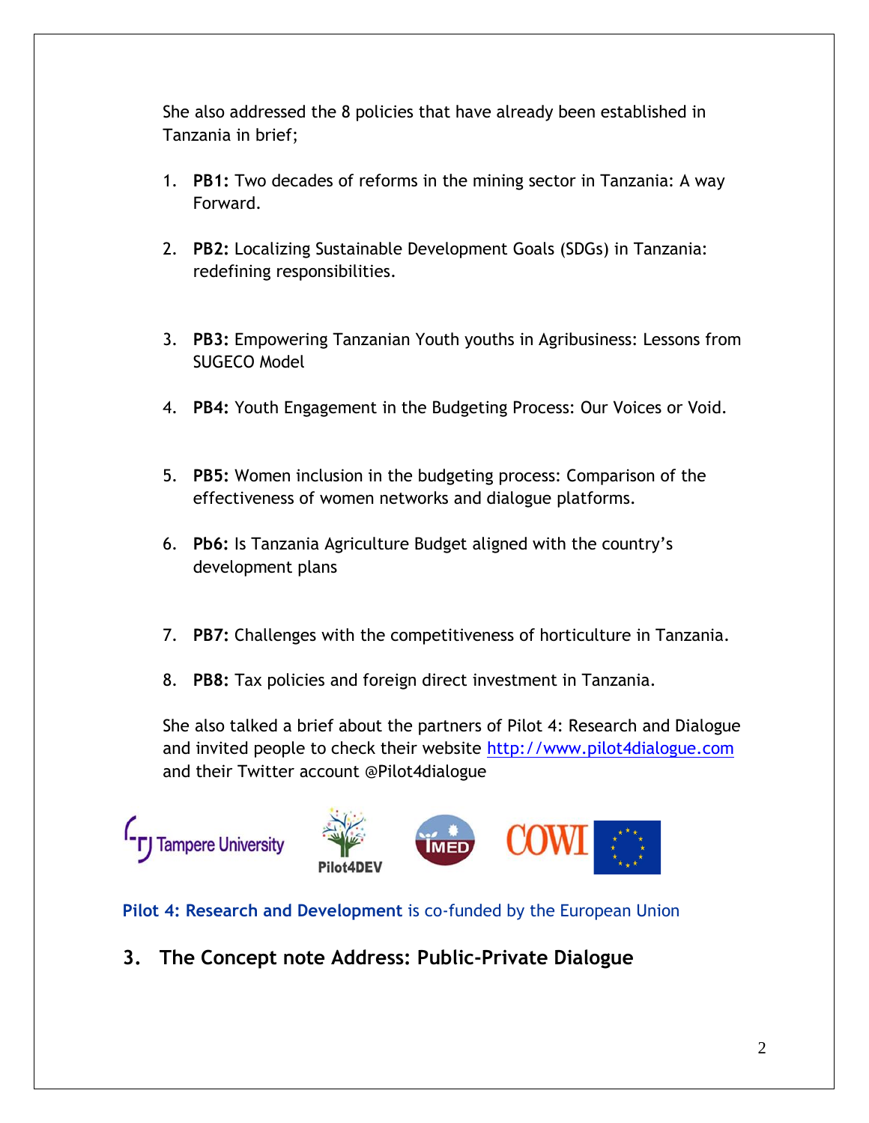She also addressed the 8 policies that have already been established in Tanzania in brief;

- 1. **PB1:** Two decades of reforms in the mining sector in Tanzania: A way Forward.
- 2. **PB2:** Localizing Sustainable Development Goals (SDGs) in Tanzania: redefining responsibilities.
- 3. **PB3:** Empowering Tanzanian Youth youths in Agribusiness: Lessons from SUGECO Model
- 4. **PB4:** Youth Engagement in the Budgeting Process: Our Voices or Void.
- 5. **PB5:** Women inclusion in the budgeting process: Comparison of the effectiveness of women networks and dialogue platforms.
- 6. **Pb6:** Is Tanzania Agriculture Budget aligned with the country's development plans
- 7. **PB7:** Challenges with the competitiveness of horticulture in Tanzania.
- 8. **PB8:** Tax policies and foreign direct investment in Tanzania.

She also talked a brief about the partners of Pilot 4: Research and Dialogue and invited people to check their website [http://www.pilot4dialogue.com](http://www.pilot4dialogue.com/) and their Twitter account @Pilot4dialogue



#### **Pilot 4: Research and Development** is co-funded by the European Union

**3. The Concept note Address: Public-Private Dialogue**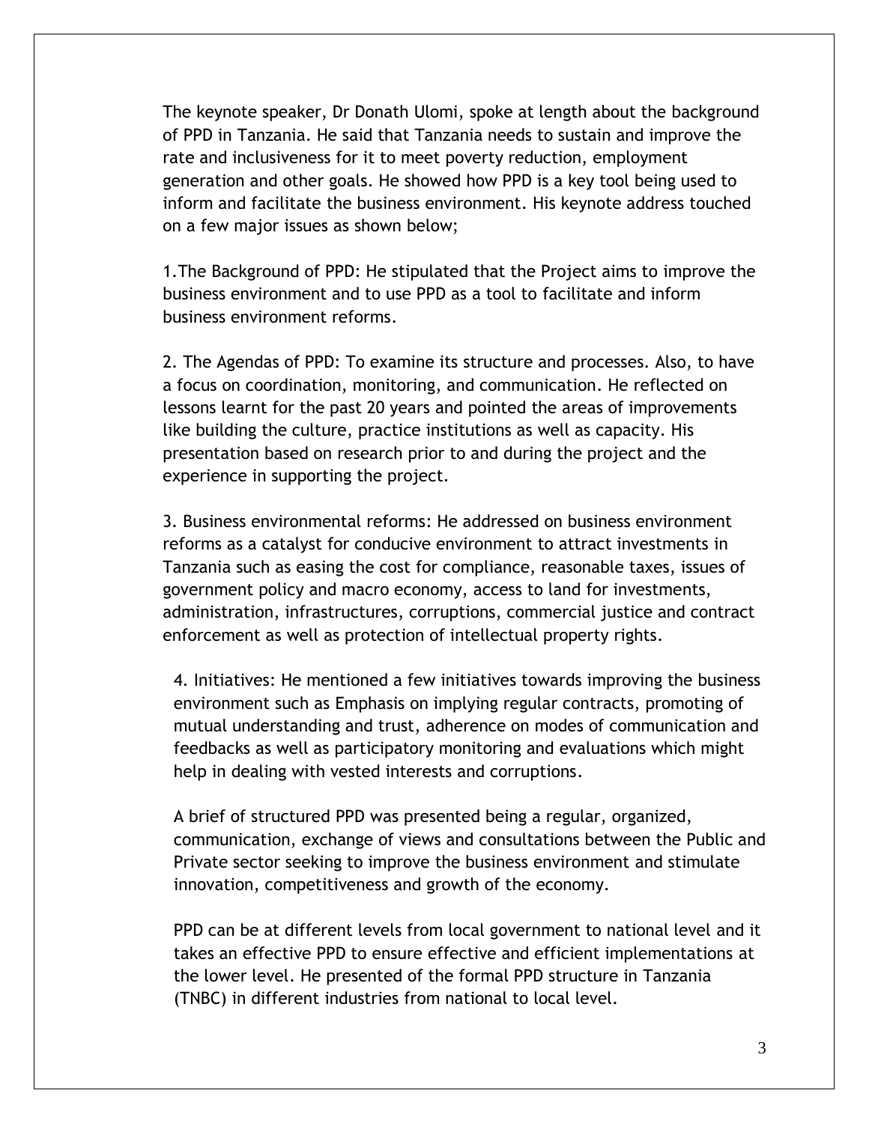The keynote speaker, Dr Donath Ulomi, spoke at length about the background of PPD in Tanzania. He said that Tanzania needs to sustain and improve the rate and inclusiveness for it to meet poverty reduction, employment generation and other goals. He showed how PPD is a key tool being used to inform and facilitate the business environment. His keynote address touched on a few major issues as shown below;

1.The Background of PPD: He stipulated that the Project aims to improve the business environment and to use PPD as a tool to facilitate and inform business environment reforms.

2. The Agendas of PPD: To examine its structure and processes. Also, to have a focus on coordination, monitoring, and communication. He reflected on lessons learnt for the past 20 years and pointed the areas of improvements like building the culture, practice institutions as well as capacity. His presentation based on research prior to and during the project and the experience in supporting the project.

3. Business environmental reforms: He addressed on business environment reforms as a catalyst for conducive environment to attract investments in Tanzania such as easing the cost for compliance, reasonable taxes, issues of government policy and macro economy, access to land for investments, administration, infrastructures, corruptions, commercial justice and contract enforcement as well as protection of intellectual property rights.

4. Initiatives: He mentioned a few initiatives towards improving the business environment such as Emphasis on implying regular contracts, promoting of mutual understanding and trust, adherence on modes of communication and feedbacks as well as participatory monitoring and evaluations which might help in dealing with vested interests and corruptions.

A brief of structured PPD was presented being a regular, organized, communication, exchange of views and consultations between the Public and Private sector seeking to improve the business environment and stimulate innovation, competitiveness and growth of the economy.

PPD can be at different levels from local government to national level and it takes an effective PPD to ensure effective and efficient implementations at the lower level. He presented of the formal PPD structure in Tanzania (TNBC) in different industries from national to local level.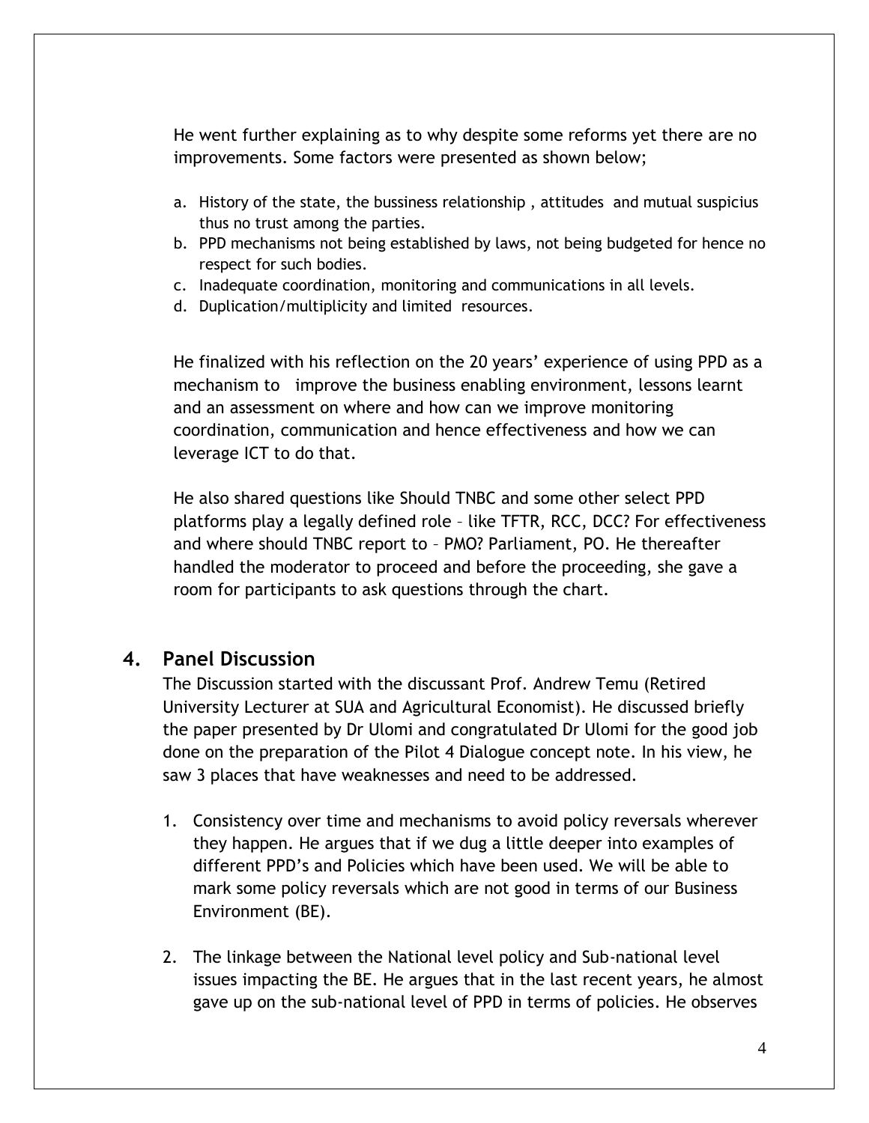He went further explaining as to why despite some reforms yet there are no improvements. Some factors were presented as shown below;

- a. History of the state, the bussiness relationship , attitudes and mutual suspicius thus no trust among the parties.
- b. PPD mechanisms not being established by laws, not being budgeted for hence no respect for such bodies.
- c. Inadequate coordination, monitoring and communications in all levels.
- d. Duplication/multiplicity and limited resources.

He finalized with his reflection on the 20 years' experience of using PPD as a mechanism to improve the business enabling environment, lessons learnt and an assessment on where and how can we improve monitoring coordination, communication and hence effectiveness and how we can leverage ICT to do that.

He also shared questions like Should TNBC and some other select PPD platforms play a legally defined role – like TFTR, RCC, DCC? For effectiveness and where should TNBC report to – PMO? Parliament, PO. He thereafter handled the moderator to proceed and before the proceeding, she gave a room for participants to ask questions through the chart.

#### **4. Panel Discussion**

The Discussion started with the discussant Prof. Andrew Temu (Retired University Lecturer at SUA and Agricultural Economist). He discussed briefly the paper presented by Dr Ulomi and congratulated Dr Ulomi for the good job done on the preparation of the Pilot 4 Dialogue concept note. In his view, he saw 3 places that have weaknesses and need to be addressed.

- 1. Consistency over time and mechanisms to avoid policy reversals wherever they happen. He argues that if we dug a little deeper into examples of different PPD's and Policies which have been used. We will be able to mark some policy reversals which are not good in terms of our Business Environment (BE).
- 2. The linkage between the National level policy and Sub-national level issues impacting the BE. He argues that in the last recent years, he almost gave up on the sub-national level of PPD in terms of policies. He observes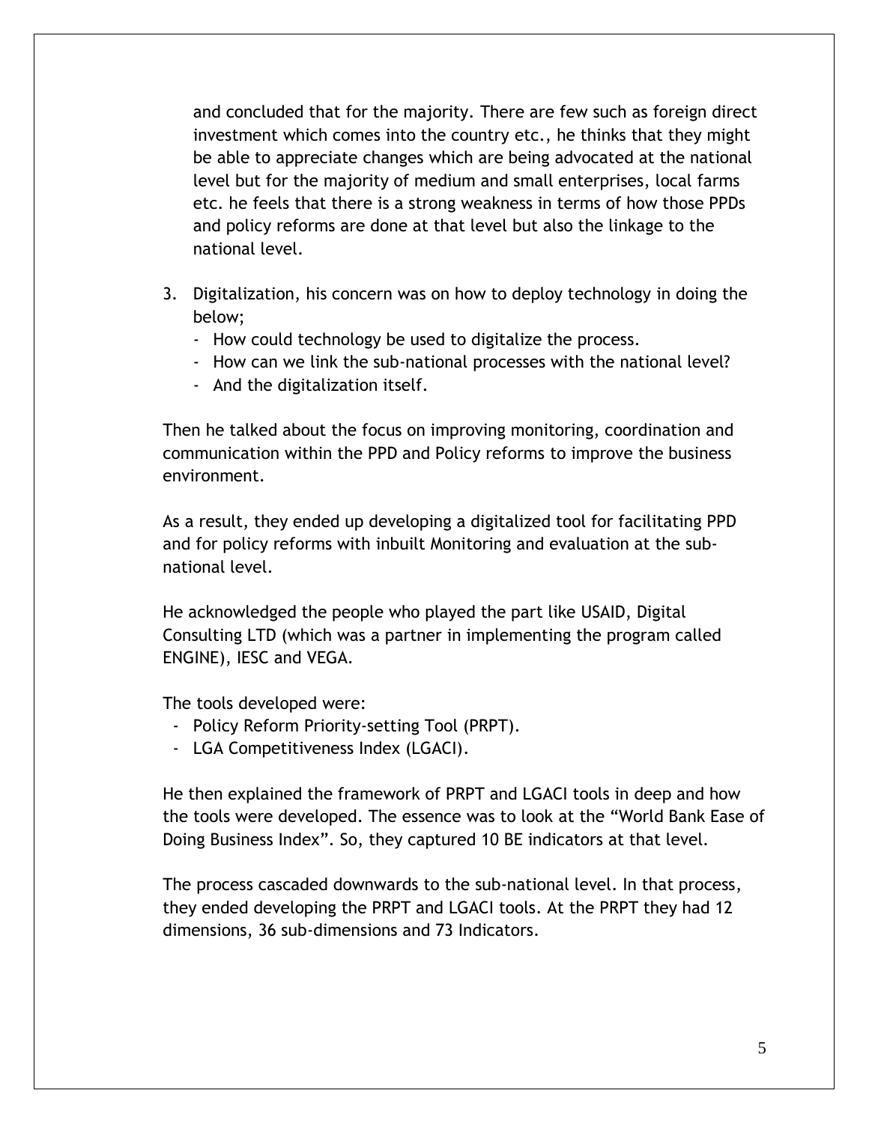and concluded that for the majority. There are few such as foreign direct investment which comes into the country etc., he thinks that they might be able to appreciate changes which are being advocated at the national level but for the majority of medium and small enterprises, local farms etc. he feels that there is a strong weakness in terms of how those PPDs and policy reforms are done at that level but also the linkage to the national level.

- 3. Digitalization, his concern was on how to deploy technology in doing the below;
	- How could technology be used to digitalize the process.
	- How can we link the sub-national processes with the national level?
	- And the digitalization itself.

Then he talked about the focus on improving monitoring, coordination and communication within the PPD and Policy reforms to improve the business environment.

As a result, they ended up developing a digitalized tool for facilitating PPD and for policy reforms with inbuilt Monitoring and evaluation at the subnational level.

He acknowledged the people who played the part like USAID, Digital Consulting LTD (which was a partner in implementing the program called ENGINE), IESC and VEGA.

The tools developed were:

- Policy Reform Priority-setting Tool (PRPT).
- LGA Competitiveness Index (LGACI).

He then explained the framework of PRPT and LGACI tools in deep and how the tools were developed. The essence was to look at the "World Bank Ease of Doing Business Index". So, they captured 10 BE indicators at that level.

The process cascaded downwards to the sub-national level. In that process, they ended developing the PRPT and LGACI tools. At the PRPT they had 12 dimensions, 36 sub-dimensions and 73 Indicators.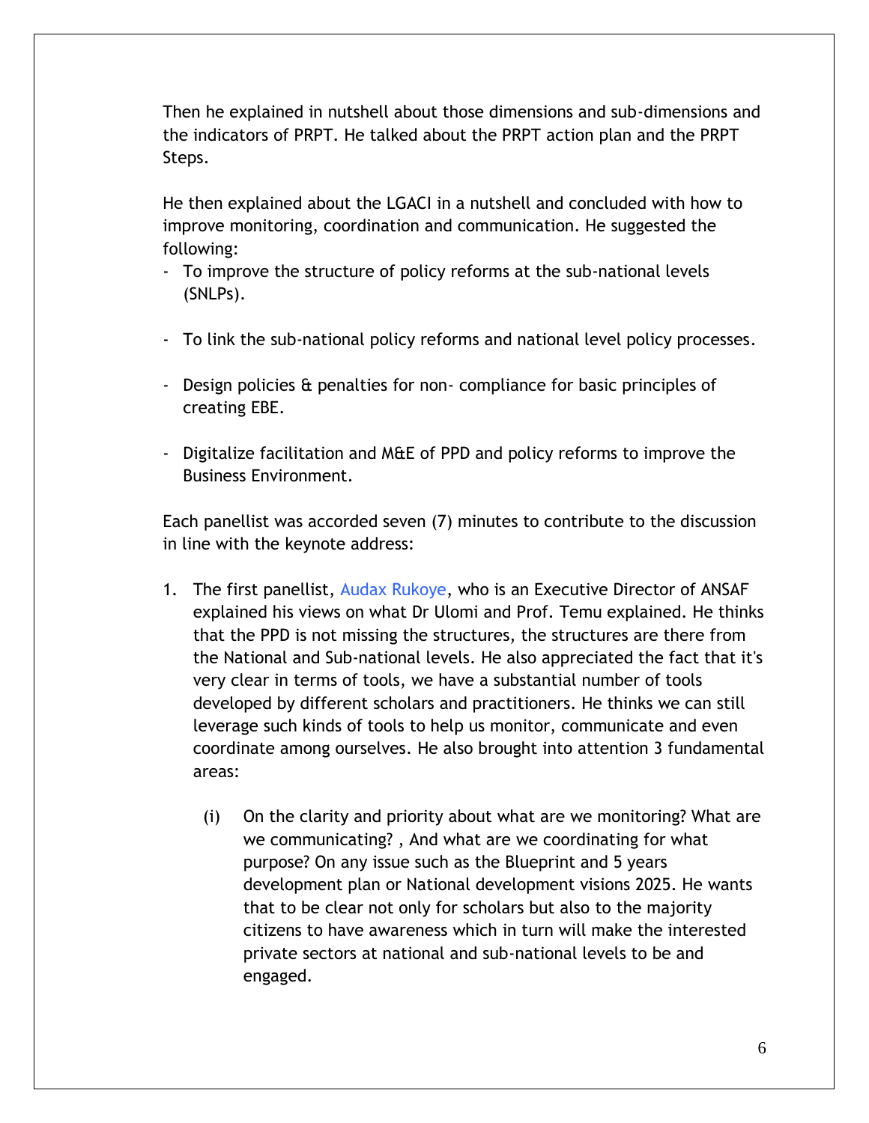Then he explained in nutshell about those dimensions and sub-dimensions and the indicators of PRPT. He talked about the PRPT action plan and the PRPT Steps.

He then explained about the LGACI in a nutshell and concluded with how to improve monitoring, coordination and communication. He suggested the following:

- To improve the structure of policy reforms at the sub-national levels (SNLPs).
- To link the sub-national policy reforms and national level policy processes.
- Design policies & penalties for non- compliance for basic principles of creating EBE.
- Digitalize facilitation and M&E of PPD and policy reforms to improve the Business Environment.

Each panellist was accorded seven (7) minutes to contribute to the discussion in line with the keynote address:

- 1. The first panellist, Audax Rukoye, who is an Executive Director of ANSAF explained his views on what Dr Ulomi and Prof. Temu explained. He thinks that the PPD is not missing the structures, the structures are there from the National and Sub-national levels. He also appreciated the fact that it's very clear in terms of tools, we have a substantial number of tools developed by different scholars and practitioners. He thinks we can still leverage such kinds of tools to help us monitor, communicate and even coordinate among ourselves. He also brought into attention 3 fundamental areas:
	- (i) On the clarity and priority about what are we monitoring? What are we communicating? , And what are we coordinating for what purpose? On any issue such as the Blueprint and 5 years development plan or National development visions 2025. He wants that to be clear not only for scholars but also to the majority citizens to have awareness which in turn will make the interested private sectors at national and sub-national levels to be and engaged.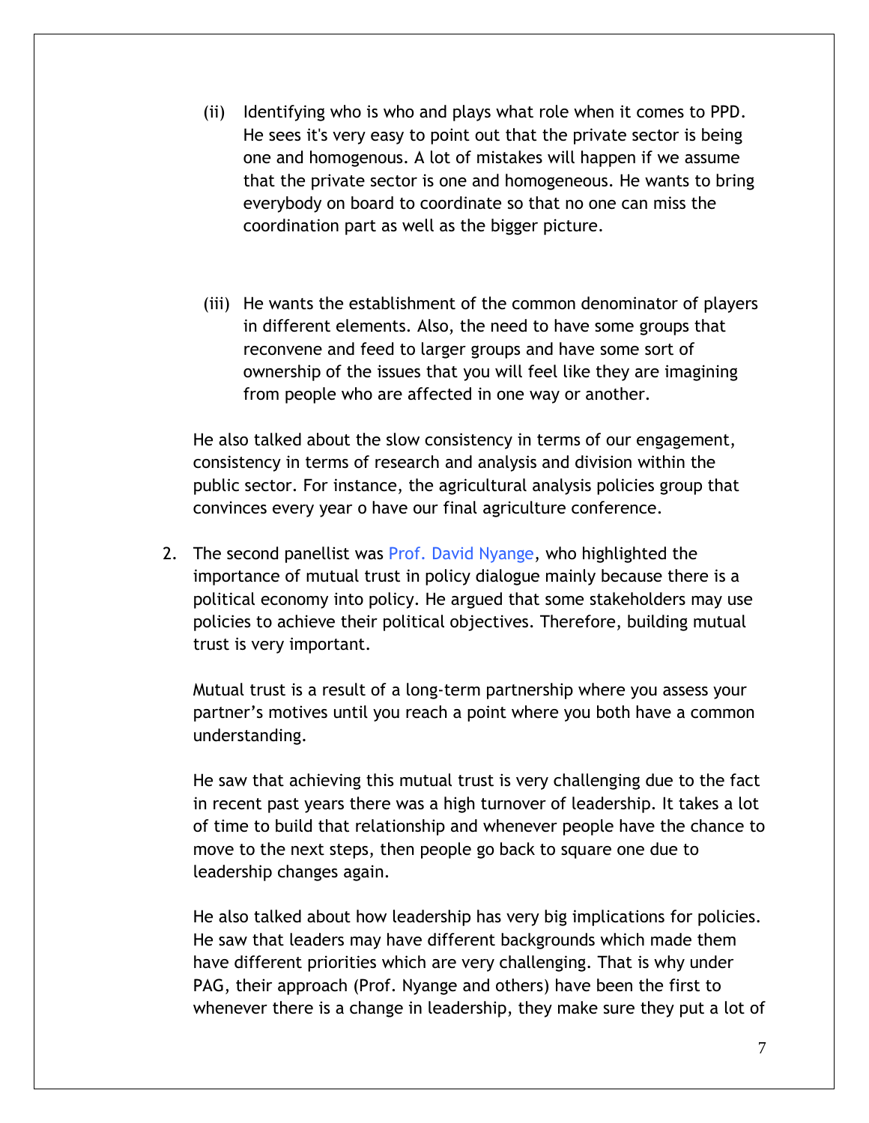- (ii) Identifying who is who and plays what role when it comes to PPD. He sees it's very easy to point out that the private sector is being one and homogenous. A lot of mistakes will happen if we assume that the private sector is one and homogeneous. He wants to bring everybody on board to coordinate so that no one can miss the coordination part as well as the bigger picture.
- (iii) He wants the establishment of the common denominator of players in different elements. Also, the need to have some groups that reconvene and feed to larger groups and have some sort of ownership of the issues that you will feel like they are imagining from people who are affected in one way or another.

He also talked about the slow consistency in terms of our engagement, consistency in terms of research and analysis and division within the public sector. For instance, the agricultural analysis policies group that convinces every year o have our final agriculture conference.

2. The second panellist was Prof. David Nyange, who highlighted the importance of mutual trust in policy dialogue mainly because there is a political economy into policy. He argued that some stakeholders may use policies to achieve their political objectives. Therefore, building mutual trust is very important.

Mutual trust is a result of a long-term partnership where you assess your partner's motives until you reach a point where you both have a common understanding.

He saw that achieving this mutual trust is very challenging due to the fact in recent past years there was a high turnover of leadership. It takes a lot of time to build that relationship and whenever people have the chance to move to the next steps, then people go back to square one due to leadership changes again.

He also talked about how leadership has very big implications for policies. He saw that leaders may have different backgrounds which made them have different priorities which are very challenging. That is why under PAG, their approach (Prof. Nyange and others) have been the first to whenever there is a change in leadership, they make sure they put a lot of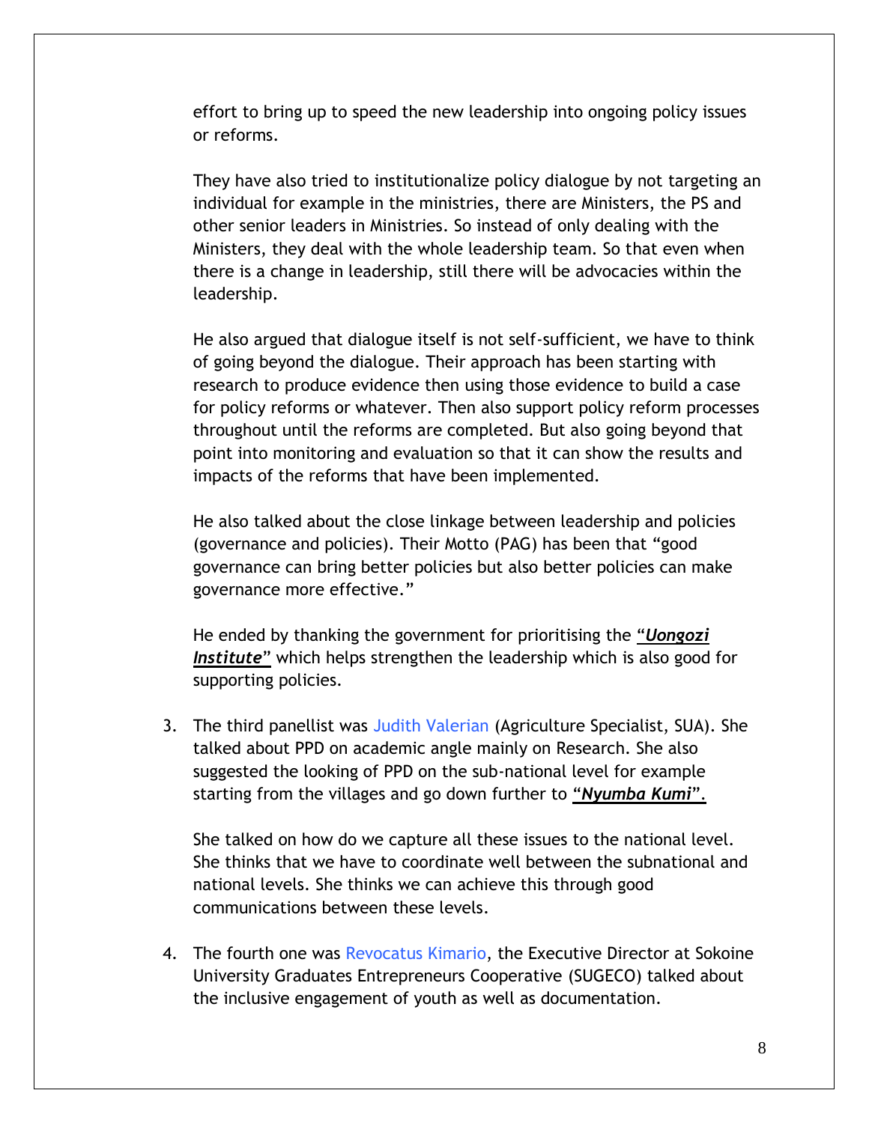effort to bring up to speed the new leadership into ongoing policy issues or reforms.

They have also tried to institutionalize policy dialogue by not targeting an individual for example in the ministries, there are Ministers, the PS and other senior leaders in Ministries. So instead of only dealing with the Ministers, they deal with the whole leadership team. So that even when there is a change in leadership, still there will be advocacies within the leadership.

He also argued that dialogue itself is not self-sufficient, we have to think of going beyond the dialogue. Their approach has been starting with research to produce evidence then using those evidence to build a case for policy reforms or whatever. Then also support policy reform processes throughout until the reforms are completed. But also going beyond that point into monitoring and evaluation so that it can show the results and impacts of the reforms that have been implemented.

He also talked about the close linkage between leadership and policies (governance and policies). Their Motto (PAG) has been that "good governance can bring better policies but also better policies can make governance more effective."

He ended by thanking the government for prioritising the "*Uongozi Institute*" which helps strengthen the leadership which is also good for supporting policies.

3. The third panellist was Judith Valerian (Agriculture Specialist, SUA). She talked about PPD on academic angle mainly on Research. She also suggested the looking of PPD on the sub-national level for example starting from the villages and go down further to "*Nyumba Kumi*".

She talked on how do we capture all these issues to the national level. She thinks that we have to coordinate well between the subnational and national levels. She thinks we can achieve this through good communications between these levels.

4. The fourth one was Revocatus Kimario, the Executive Director at Sokoine University Graduates Entrepreneurs Cooperative (SUGECO) talked about the inclusive engagement of youth as well as documentation.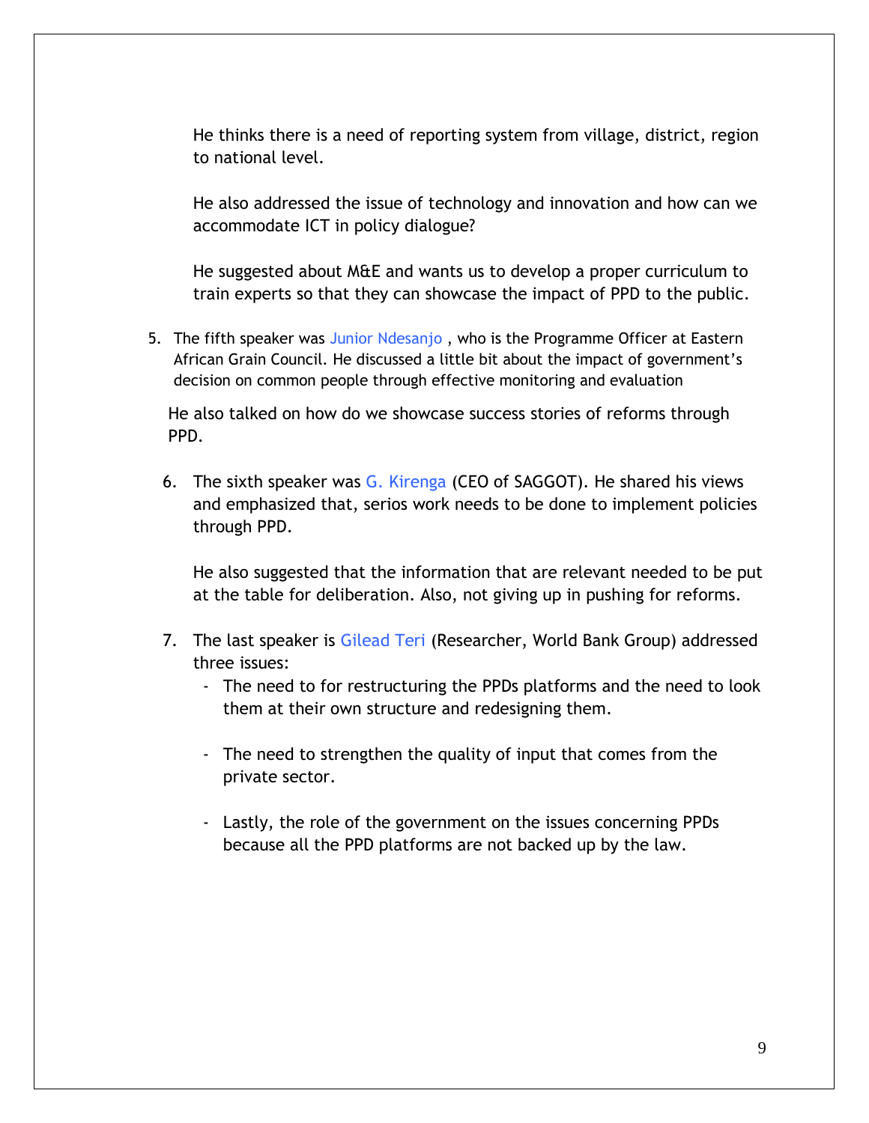He thinks there is a need of reporting system from village, district, region to national level.

He also addressed the issue of technology and innovation and how can we accommodate ICT in policy dialogue?

He suggested about M&E and wants us to develop a proper curriculum to train experts so that they can showcase the impact of PPD to the public.

5. The fifth speaker was Junior Ndesanjo , who is the Programme Officer at Eastern African Grain Council. He discussed a little bit about the impact of government's decision on common people through effective monitoring and evaluation

He also talked on how do we showcase success stories of reforms through PPD.

6. The sixth speaker was G. Kirenga (CEO of SAGGOT). He shared his views and emphasized that, serios work needs to be done to implement policies through PPD.

He also suggested that the information that are relevant needed to be put at the table for deliberation. Also, not giving up in pushing for reforms.

- 7. The last speaker is Gilead Teri (Researcher, World Bank Group) addressed three issues:
	- The need to for restructuring the PPDs platforms and the need to look them at their own structure and redesigning them.
	- The need to strengthen the quality of input that comes from the private sector.
	- Lastly, the role of the government on the issues concerning PPDs because all the PPD platforms are not backed up by the law.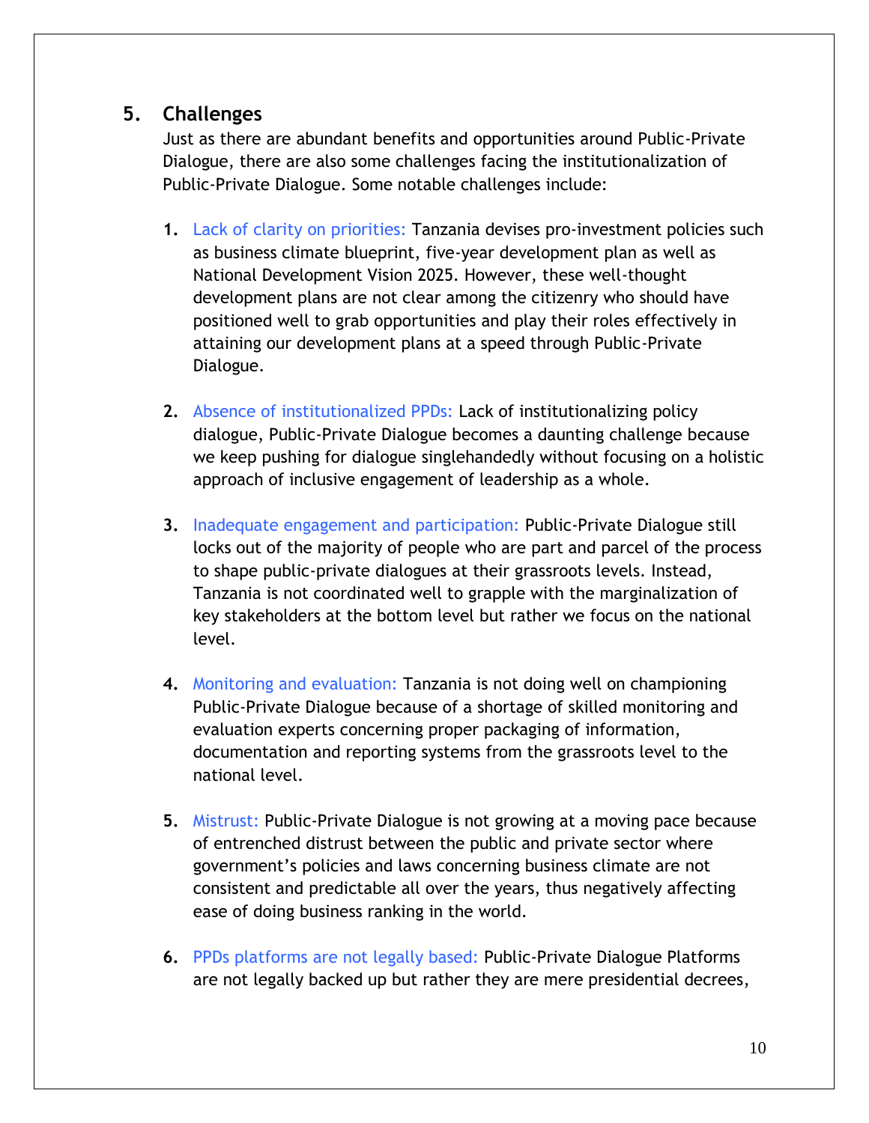# **5. Challenges**

Just as there are abundant benefits and opportunities around Public-Private Dialogue, there are also some challenges facing the institutionalization of Public-Private Dialogue. Some notable challenges include:

- **1.** Lack of clarity on priorities: Tanzania devises pro-investment policies such as business climate blueprint, five-year development plan as well as National Development Vision 2025. However, these well-thought development plans are not clear among the citizenry who should have positioned well to grab opportunities and play their roles effectively in attaining our development plans at a speed through Public-Private Dialogue.
- **2.** Absence of institutionalized PPDs: Lack of institutionalizing policy dialogue, Public-Private Dialogue becomes a daunting challenge because we keep pushing for dialogue singlehandedly without focusing on a holistic approach of inclusive engagement of leadership as a whole.
- **3.** Inadequate engagement and participation: Public-Private Dialogue still locks out of the majority of people who are part and parcel of the process to shape public-private dialogues at their grassroots levels. Instead, Tanzania is not coordinated well to grapple with the marginalization of key stakeholders at the bottom level but rather we focus on the national level.
- **4.** Monitoring and evaluation: Tanzania is not doing well on championing Public-Private Dialogue because of a shortage of skilled monitoring and evaluation experts concerning proper packaging of information, documentation and reporting systems from the grassroots level to the national level.
- **5.** Mistrust: Public-Private Dialogue is not growing at a moving pace because of entrenched distrust between the public and private sector where government's policies and laws concerning business climate are not consistent and predictable all over the years, thus negatively affecting ease of doing business ranking in the world.
- **6.** PPDs platforms are not legally based: Public-Private Dialogue Platforms are not legally backed up but rather they are mere presidential decrees,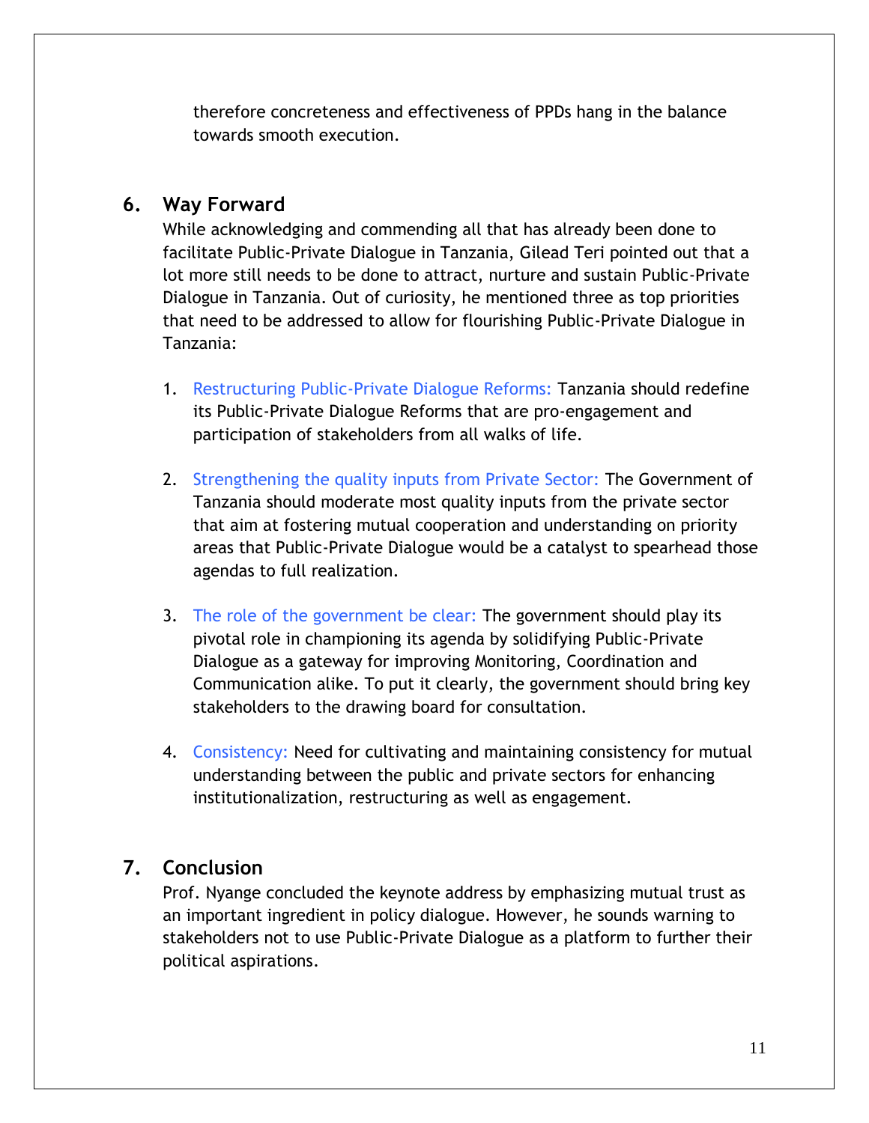therefore concreteness and effectiveness of PPDs hang in the balance towards smooth execution.

#### **6. Way Forward**

While acknowledging and commending all that has already been done to facilitate Public-Private Dialogue in Tanzania, Gilead Teri pointed out that a lot more still needs to be done to attract, nurture and sustain Public-Private Dialogue in Tanzania. Out of curiosity, he mentioned three as top priorities that need to be addressed to allow for flourishing Public-Private Dialogue in Tanzania:

- 1. Restructuring Public-Private Dialogue Reforms: Tanzania should redefine its Public-Private Dialogue Reforms that are pro-engagement and participation of stakeholders from all walks of life.
- 2. Strengthening the quality inputs from Private Sector: The Government of Tanzania should moderate most quality inputs from the private sector that aim at fostering mutual cooperation and understanding on priority areas that Public-Private Dialogue would be a catalyst to spearhead those agendas to full realization.
- 3. The role of the government be clear: The government should play its pivotal role in championing its agenda by solidifying Public-Private Dialogue as a gateway for improving Monitoring, Coordination and Communication alike. To put it clearly, the government should bring key stakeholders to the drawing board for consultation.
- 4. Consistency: Need for cultivating and maintaining consistency for mutual understanding between the public and private sectors for enhancing institutionalization, restructuring as well as engagement.

#### **7. Conclusion**

Prof. Nyange concluded the keynote address by emphasizing mutual trust as an important ingredient in policy dialogue. However, he sounds warning to stakeholders not to use Public-Private Dialogue as a platform to further their political aspirations.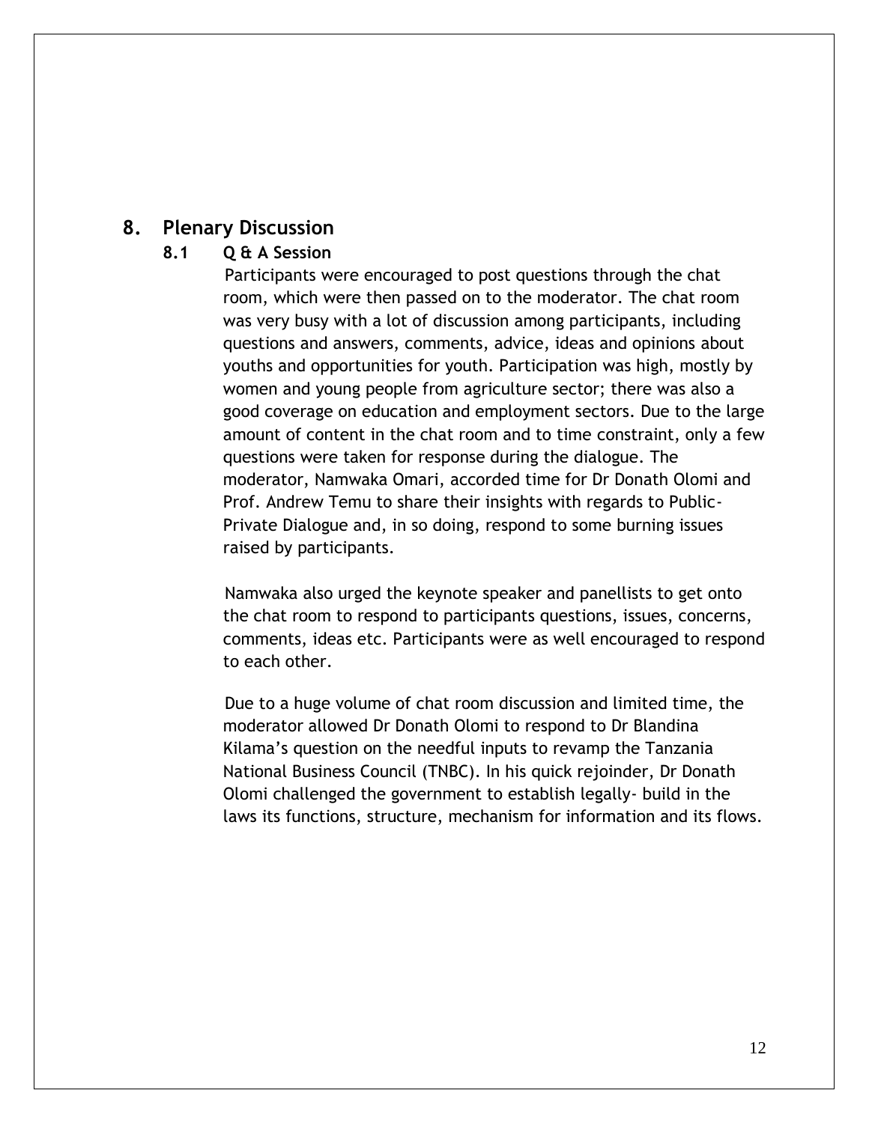#### **8. Plenary Discussion**

#### **8.1 Q & A Session**

Participants were encouraged to post questions through the chat room, which were then passed on to the moderator. The chat room was very busy with a lot of discussion among participants, including questions and answers, comments, advice, ideas and opinions about youths and opportunities for youth. Participation was high, mostly by women and young people from agriculture sector; there was also a good coverage on education and employment sectors. Due to the large amount of content in the chat room and to time constraint, only a few questions were taken for response during the dialogue. The moderator, Namwaka Omari, accorded time for Dr Donath Olomi and Prof. Andrew Temu to share their insights with regards to Public-Private Dialogue and, in so doing, respond to some burning issues raised by participants.

Namwaka also urged the keynote speaker and panellists to get onto the chat room to respond to participants questions, issues, concerns, comments, ideas etc. Participants were as well encouraged to respond to each other.

Due to a huge volume of chat room discussion and limited time, the moderator allowed Dr Donath Olomi to respond to Dr Blandina Kilama's question on the needful inputs to revamp the Tanzania National Business Council (TNBC). In his quick rejoinder, Dr Donath Olomi challenged the government to establish legally- build in the laws its functions, structure, mechanism for information and its flows.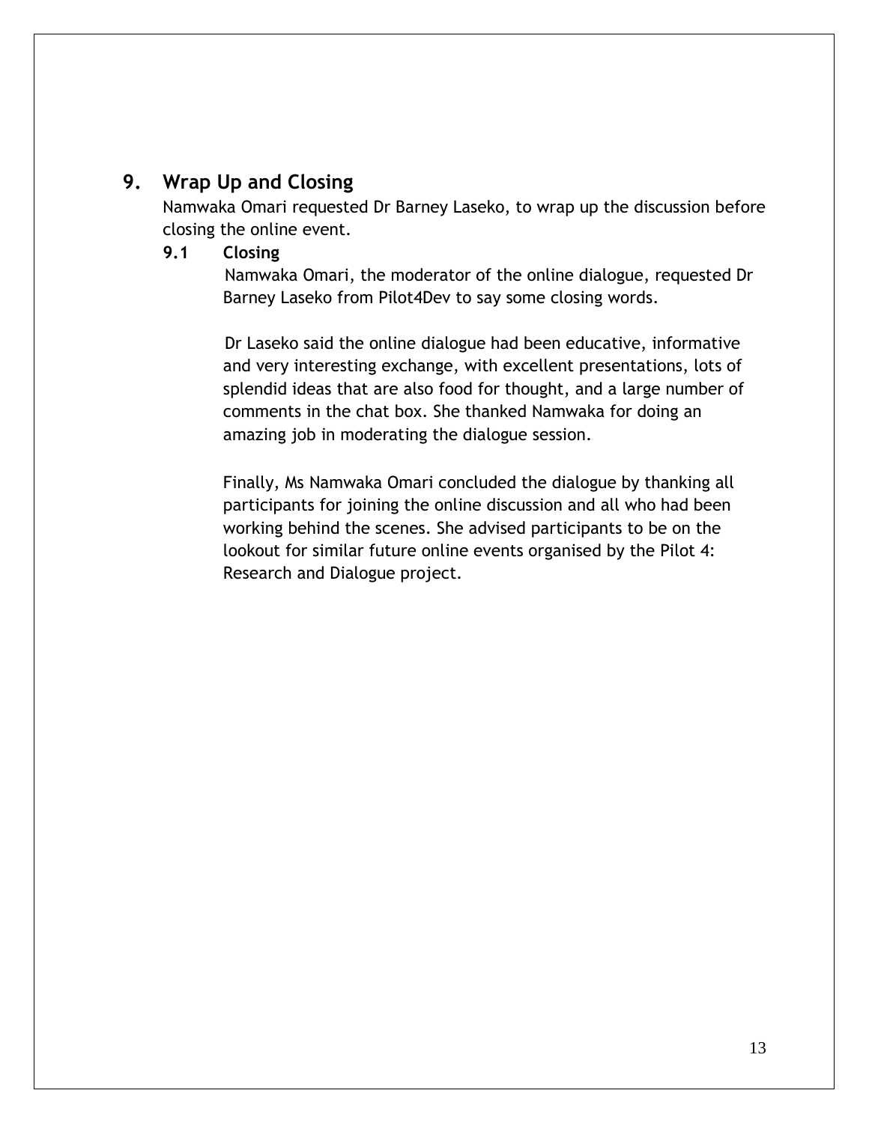### **9. Wrap Up and Closing**

Namwaka Omari requested Dr Barney Laseko, to wrap up the discussion before closing the online event.

#### **9.1 Closing**

Namwaka Omari, the moderator of the online dialogue, requested Dr Barney Laseko from Pilot4Dev to say some closing words.

Dr Laseko said the online dialogue had been educative, informative and very interesting exchange, with excellent presentations, lots of splendid ideas that are also food for thought, and a large number of comments in the chat box. She thanked Namwaka for doing an amazing job in moderating the dialogue session.

Finally, Ms Namwaka Omari concluded the dialogue by thanking all participants for joining the online discussion and all who had been working behind the scenes. She advised participants to be on the lookout for similar future online events organised by the Pilot 4: Research and Dialogue project.